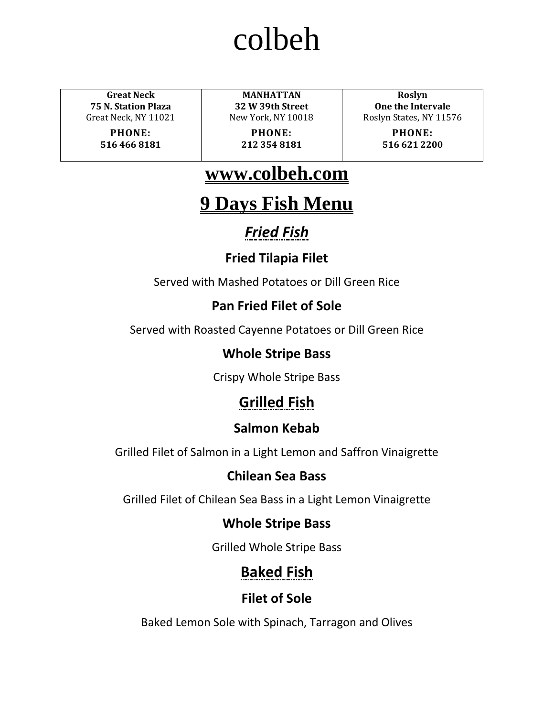**Great Neck 75 N. Station Plaza** Great Neck, NY 11021

> **PHONE: 516 466 8181**

**MANHATTAN 32 W 39th Street** New York, NY 10018

**PHONE: 212 354 8181**

**Roslyn One the Intervale** Roslyn States, NY 11576

> **PHONE: 516 621 2200**

# **www.colbeh.com**

# **9 Days Fish Menu**

# *Fried Fish*

# **Fried Tilapia Filet**

Served with Mashed Potatoes or Dill Green Rice

# **Pan Fried Filet of Sole**

Served with Roasted Cayenne Potatoes or Dill Green Rice

# **Whole Stripe Bass**

Crispy Whole Stripe Bass

# **Grilled Fish**

# **Salmon Kebab**

Grilled Filet of Salmon in a Light Lemon and Saffron Vinaigrette

# **Chilean Sea Bass**

Grilled Filet of Chilean Sea Bass in a Light Lemon Vinaigrette

# **Whole Stripe Bass**

Grilled Whole Stripe Bass

# **Baked Fish**

# **Filet of Sole**

Baked Lemon Sole with Spinach, Tarragon and Olives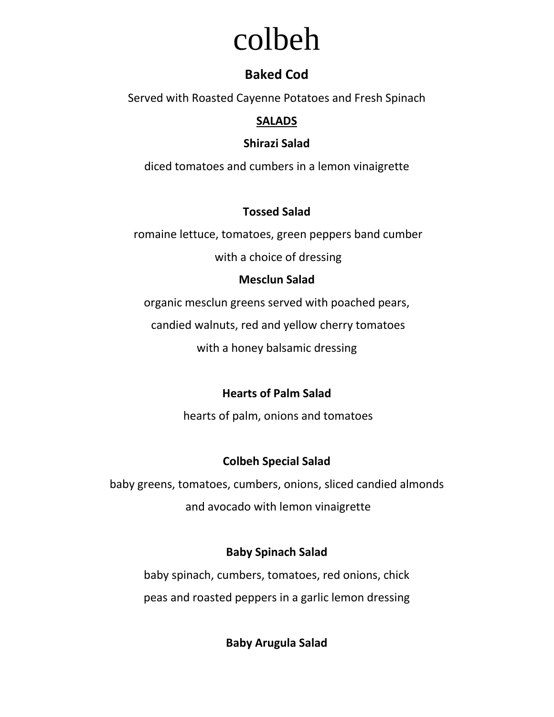## **Baked Cod**

Served with Roasted Cayenne Potatoes and Fresh Spinach

## **SALADS**

#### **Shirazi Salad**

diced tomatoes and cumbers in a lemon vinaigrette

#### **Tossed Salad**

romaine lettuce, tomatoes, green peppers band cumber

with a choice of dressing

## **Mesclun Salad**

organic mesclun greens served with poached pears,

candied walnuts, red and yellow cherry tomatoes

with a honey balsamic dressing

# **Hearts of Palm Salad**

hearts of palm, onions and tomatoes

## **Colbeh Special Salad**

baby greens, tomatoes, cumbers, onions, sliced candied almonds and avocado with lemon vinaigrette

## **Baby Spinach Salad**

baby spinach, cumbers, tomatoes, red onions, chick peas and roasted peppers in a garlic lemon dressing

**Baby Arugula Salad**